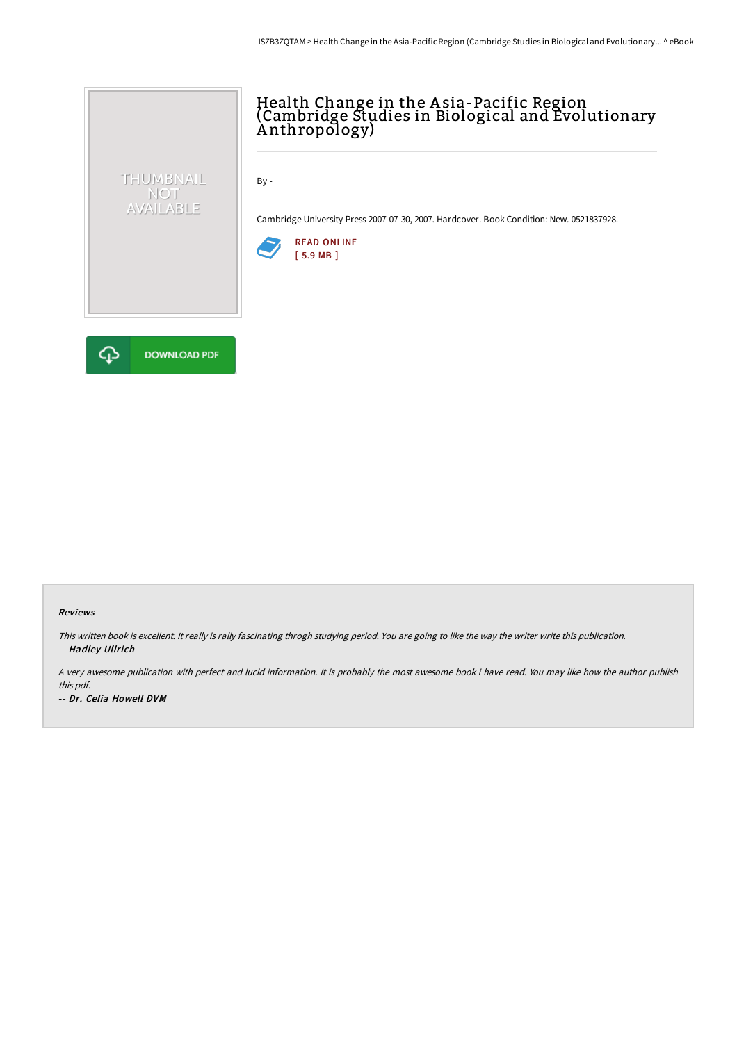# Health Change in the A sia-Pacific Region (Cambridge Studies in Biological and Evolutionary A nthropology)

By -

Cambridge University Press 2007-07-30, 2007. Hardcover. Book Condition: New. 0521837928.





THUMBNAIL NOT<br>AVAILABLE

### Reviews

This written book is excellent. It really is rally fascinating throgh studying period. You are going to like the way the writer write this publication. -- Hadley Ullrich

A very awesome publication with perfect and lucid information. It is probably the most awesome book i have read. You may like how the author publish this pdf.

-- Dr. Celia Howell DVM